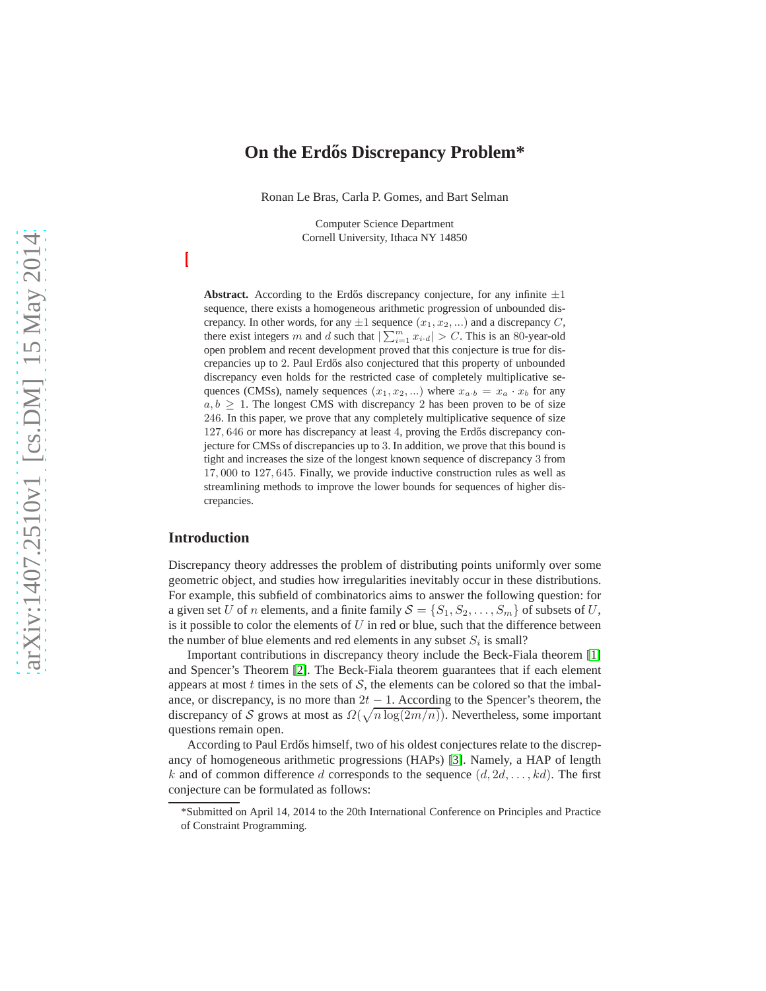# **On the Erdős Discrepancy Problem\***

Ronan Le Bras, Carla P. Gomes, and Bart Selman

Computer Science Department Cornell University, Ithaca NY 14850

**Abstract.** According to the Erdős discrepancy conjecture, for any infinite  $\pm 1$ sequence, there exists a homogeneous arithmetic progression of unbounded discrepancy. In other words, for any  $\pm 1$  sequence  $(x_1, x_2, ...)$  and a discrepancy C, there exist integers m and d such that  $\left|\sum_{i=1}^{m} x_{i\cdot d}\right| > C$ . This is an 80-year-old open problem and recent development proved that this conjecture is true for discrepancies up to 2. Paul Erdős also conjectured that this property of unbounded discrepancy even holds for the restricted case of completely multiplicative sequences (CMSs), namely sequences  $(x_1, x_2, ...)$  where  $x_{a \cdot b} = x_a \cdot x_b$  for any  $a, b \geq 1$ . The longest CMS with discrepancy 2 has been proven to be of size 246. In this paper, we prove that any completely multiplicative sequence of size 127, 646 or more has discrepancy at least 4, proving the Erdős discrepancy conjecture for CMSs of discrepancies up to 3. In addition, we prove that this bound is tight and increases the size of the longest known sequence of discrepancy 3 from 17, 000 to 127, 645. Finally, we provide inductive construction rules as well as streamlining methods to improve the lower bounds for sequences of higher discrepancies.

## **Introduction**

Discrepancy theory addresses the problem of distributing points uniformly over some geometric object, and studies how irregularities inevitably occur in these distributions. For example, this subfield of combinatorics aims to answer the following question: for a given set U of n elements, and a finite family  $S = \{S_1, S_2, \ldots, S_m\}$  of subsets of U, is it possible to color the elements of  $U$  in red or blue, such that the difference between the number of blue elements and red elements in any subset  $S_i$  is small?

Important contributions in discrepancy theory include the Beck-Fiala theorem [\[1\]](#page-7-0) and Spencer's Theorem [\[2\]](#page-7-1). The Beck-Fiala theorem guarantees that if each element appears at most  $t$  times in the sets of  $S$ , the elements can be colored so that the imbalance, or discrepancy, is no more than  $2t - 1$ . According to the Spencer's theorem, the discrepancy of S grows at most as  $\Omega(\sqrt{n \log(2m/n)})$ . Nevertheless, some important questions remain open.

According to Paul Erd˝os himself, two of his oldest conjectures relate to the discrepancy of homogeneous arithmetic progressions (HAPs) [\[3\]](#page-7-2). Namely, a HAP of length k and of common difference d corresponds to the sequence  $(d, 2d, \ldots, kd)$ . The first conjecture can be formulated as follows:

<span id="page-0-0"></span><sup>\*</sup>Submitted on April 14, 2014 to the 20th International Conference on Principles and Practice of Constraint Programming.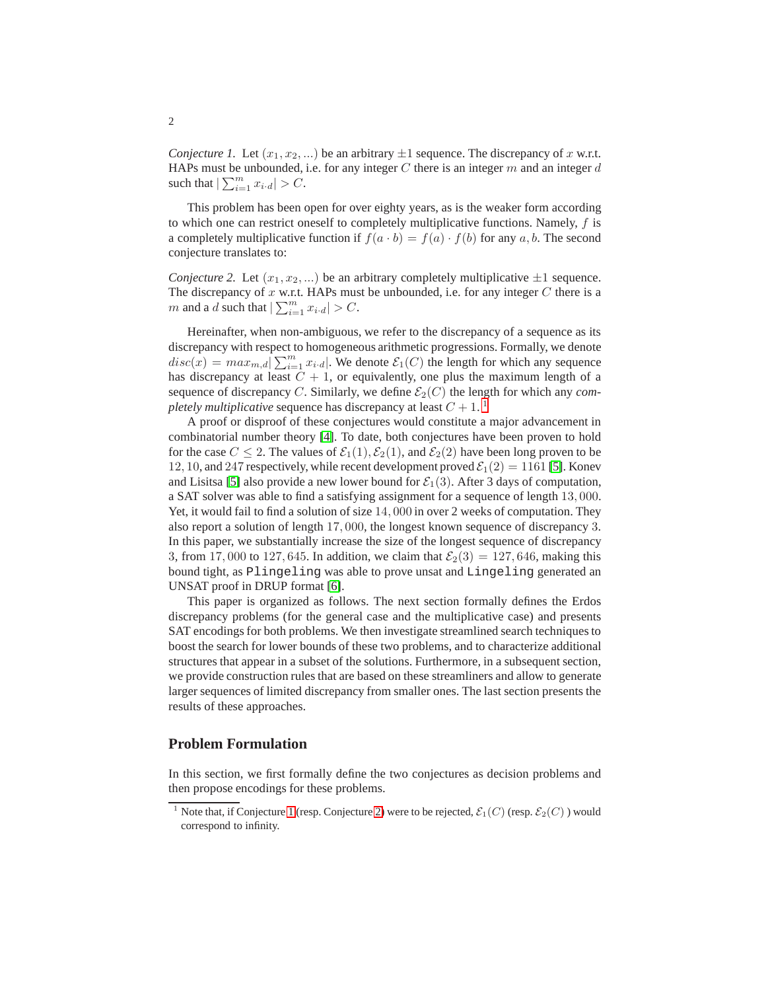*Conjecture 1.* Let  $(x_1, x_2, ...)$  be an arbitrary  $\pm 1$  sequence. The discrepancy of x w.r.t. HAPs must be unbounded, i.e. for any integer  $C$  there is an integer  $m$  and an integer  $d$ such that  $|\sum_{i=1}^m x_{i\cdot d}| > C$ .

This problem has been open for over eighty years, as is the weaker form according to which one can restrict oneself to completely multiplicative functions. Namely, f is a completely multiplicative function if  $f(a \cdot b) = f(a) \cdot f(b)$  for any a, b. The second conjecture translates to:

<span id="page-1-1"></span>*Conjecture 2.* Let  $(x_1, x_2, ...)$  be an arbitrary completely multiplicative  $\pm 1$  sequence. The discrepancy of  $x$  w.r.t. HAPs must be unbounded, i.e. for any integer  $C$  there is a *m* and a *d* such that  $|\sum_{i=1}^{m} x_{i \cdot d}| > C$ .

Hereinafter, when non-ambiguous, we refer to the discrepancy of a sequence as its discrepancy with respect to homogeneous arithmetic progressions. Formally, we denote  $disc(x) = max_{m,d} \left[\sum_{i=1}^{m} x_{i \cdot d}\right]$ . We denote  $\mathcal{E}_1(C)$  the length for which any sequence has discrepancy at least  $C + 1$ , or equivalently, one plus the maximum length of a sequence of discrepancy C. Similarly, we define  $\mathcal{E}_2(C)$  the length for which any *completely multiplicative* sequence has discrepancy at least  $C + 1$  $C + 1$ .<sup>1</sup>

A proof or disproof of these conjectures would constitute a major advancement in combinatorial number theory [\[4\]](#page-7-3). To date, both conjectures have been proven to hold for the case  $C \leq 2$ . The values of  $\mathcal{E}_1(1), \mathcal{E}_2(1)$ , and  $\mathcal{E}_2(2)$  have been long proven to be 12, 10, and 247 respectively, while recent development proved  $\mathcal{E}_1(2) = 1161$  [\[5\]](#page-7-4). Konev and Lisitsa [\[5\]](#page-7-4) also provide a new lower bound for  $\mathcal{E}_1(3)$ . After 3 days of computation, a SAT solver was able to find a satisfying assignment for a sequence of length 13, 000. Yet, it would fail to find a solution of size 14, 000 in over 2 weeks of computation. They also report a solution of length 17, 000, the longest known sequence of discrepancy 3. In this paper, we substantially increase the size of the longest sequence of discrepancy 3, from 17,000 to 127, 645. In addition, we claim that  $\mathcal{E}_2(3) = 127,646$ , making this bound tight, as Plingeling was able to prove unsat and Lingeling generated an UNSAT proof in DRUP format [\[6\]](#page-7-5).

This paper is organized as follows. The next section formally defines the Erdos discrepancy problems (for the general case and the multiplicative case) and presents SAT encodings for both problems. We then investigate streamlined search techniques to boost the search for lower bounds of these two problems, and to characterize additional structures that appear in a subset of the solutions. Furthermore, in a subsequent section, we provide construction rules that are based on these streamliners and allow to generate larger sequences of limited discrepancy from smaller ones. The last section presents the results of these approaches.

## **Problem Formulation**

In this section, we first formally define the two conjectures as decision problems and then propose encodings for these problems.

<span id="page-1-0"></span><sup>&</sup>lt;sup>1</sup> Note that, if Conjecture [1](#page-0-0) (resp. Conjecture [2\)](#page-1-1) were to be rejected,  $\mathcal{E}_1(C)$  (resp.  $\mathcal{E}_2(C)$ ) would correspond to infinity.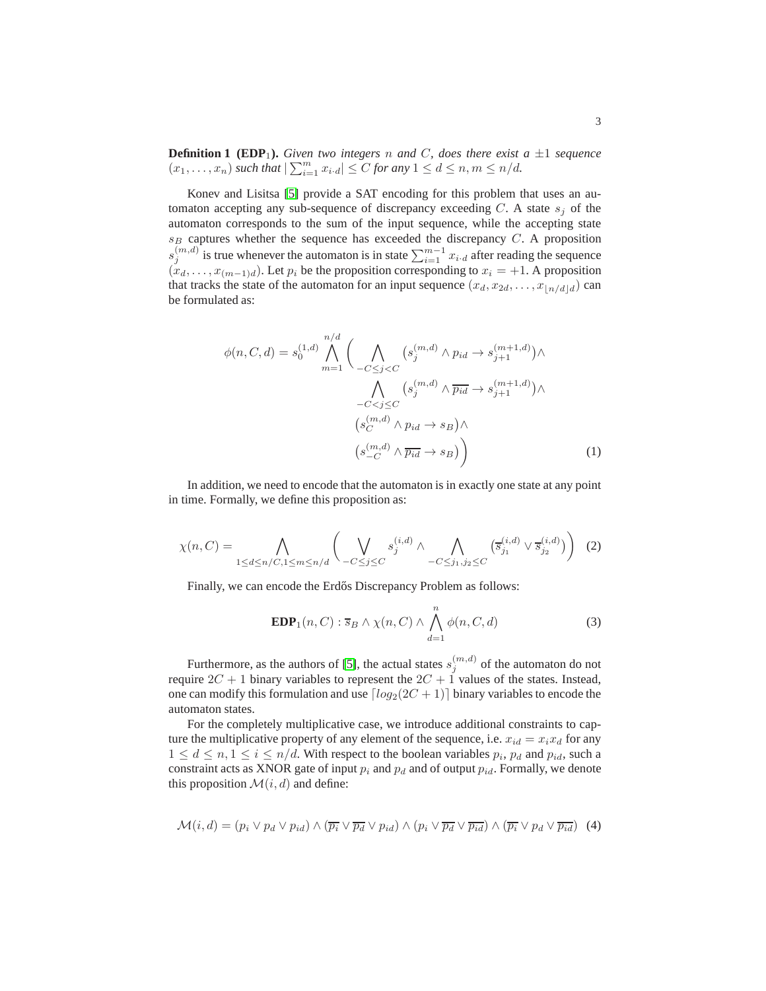**Definition 1 (EDP<sub>1</sub>).** Given two integers n and C, does there exist a  $\pm 1$  sequence  $(x_1, \ldots, x_n)$  *such that*  $\left| \sum_{i=1}^m x_{i \cdot d} \right| \leq C$  *for any*  $1 \leq d \leq n, m \leq n/d$ *.* 

Konev and Lisitsa [\[5\]](#page-7-4) provide a SAT encoding for this problem that uses an automaton accepting any sub-sequence of discrepancy exceeding  $C$ . A state  $s_i$  of the automaton corresponds to the sum of the input sequence, while the accepting state  $s_B$  captures whether the sequence has exceeded the discrepancy  $C$ . A proposition  $s_j^{(m,d)}$  is true whenever the automaton is in state  $\sum_{i=1}^{m-1} x_{i \cdot d}$  after reading the sequence  $(x_d, \ldots, x_{(m-1)d})$ . Let  $p_i$  be the proposition corresponding to  $x_i = +1$ . A proposition that tracks the state of the automaton for an input sequence  $(x_d, x_{2d}, \ldots, x_{\lfloor n/d\rfloor d})$  can be formulated as:

$$
\phi(n, C, d) = s_0^{(1,d)} \bigwedge_{m=1}^{n/d} \Big( \bigwedge_{-C \le j < C} (s_j^{(m,d)} \land p_{id} \to s_{j+1}^{(m+1,d)}) \land \bigwedge_{-C < j \le C} (s_j^{(m,d)} \land \overline{p_{id}} \to s_{j+1}^{(m+1,d)}) \land \bigwedge_{-C < j \le C} (s_C^{(m,d)} \land p_{id} \to s_B) \land \bigwedge_{\begin{cases} (m,d) \land \overline{p_{id}} \to s_B \end{cases}} (1)
$$

In addition, we need to encode that the automaton is in exactly one state at any point in time. Formally, we define this proposition as:

$$
\chi(n, C) = \bigwedge_{1 \le d \le n/C, 1 \le m \le n/d} \bigg( \bigvee_{-C \le j \le C} s_j^{(i, d)} \wedge \bigwedge_{-C \le j_1, j_2 \le C} (\overline{s}_{j_1}^{(i, d)} \vee \overline{s}_{j_2}^{(i, d)}) \bigg) \tag{2}
$$

Finally, we can encode the Erdős Discrepancy Problem as follows:

$$
\mathbf{EDP}_1(n, C) : \overline{s}_B \wedge \chi(n, C) \wedge \bigwedge_{d=1}^n \phi(n, C, d)
$$
 (3)

Furthermore, as the authors of [\[5\]](#page-7-4), the actual states  $s_j^{(m,d)}$  of the automaton do not require  $2C + 1$  binary variables to represent the  $2C + 1$  values of the states. Instead, one can modify this formulation and use  $\lceil log_2(2C + 1) \rceil$  binary variables to encode the automaton states.

For the completely multiplicative case, we introduce additional constraints to capture the multiplicative property of any element of the sequence, i.e.  $x_{id} = x_i x_d$  for any  $1 \leq d \leq n, 1 \leq i \leq n/d$ . With respect to the boolean variables  $p_i$ ,  $p_d$  and  $p_{id}$ , such a constraint acts as XNOR gate of input  $p_i$  and  $p_d$  and of output  $p_{id}$ . Formally, we denote this proposition  $\mathcal{M}(i, d)$  and define:

$$
\mathcal{M}(i,d) = (p_i \lor p_d \lor p_{id}) \land (\overline{p_i} \lor \overline{p_d} \lor p_{id}) \land (p_i \lor \overline{p_d} \lor \overline{p_{id}}) \land (\overline{p_i} \lor p_d \lor \overline{p_{id}}) \tag{4}
$$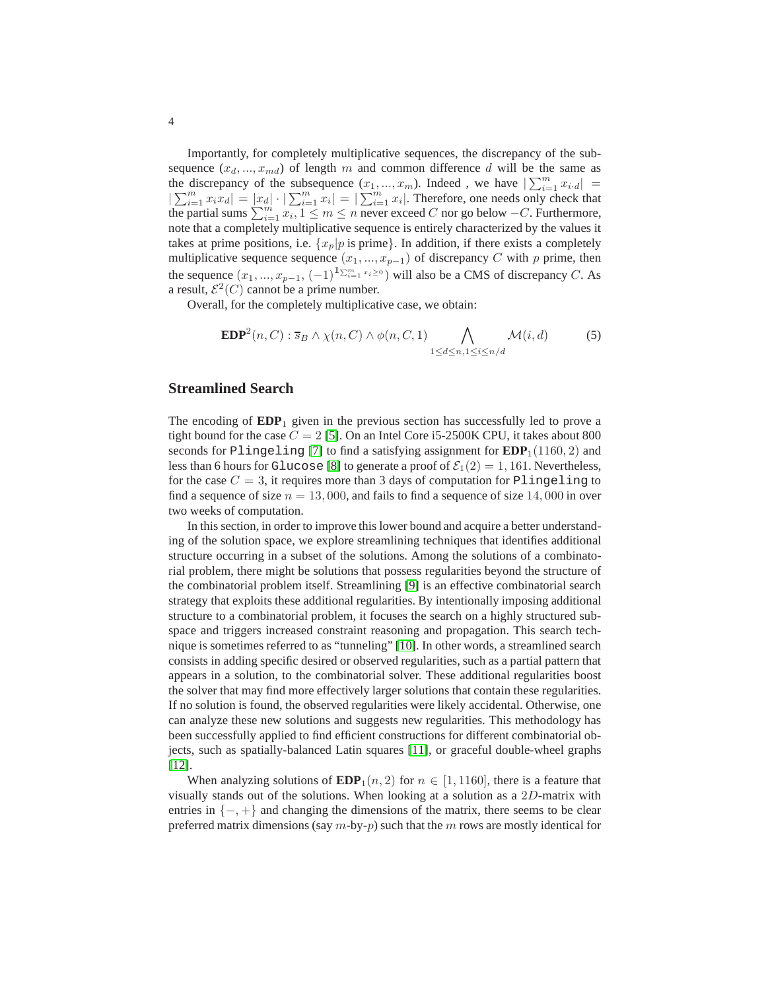Importantly, for completely multiplicative sequences, the discrepancy of the subsequence  $(x_d, ..., x_{md})$  of length m and common difference d will be the same as the discrepancy of the subsequence  $(x_1, ..., x_m)$ . Indeed, we have  $|\sum_{i=1}^m x_{i \cdot d}| =$  $|\sum_{i=1}^m x_i x_i| = |x_d| \cdot |\sum_{i=1}^m x_i| = |\sum_{i=1}^m x_i|$ . Therefore, one needs only check that the partial sums  $\sum_{i=1}^{m} x_i, 1 \leq m \leq n$  never exceed C nor go below  $-C$ . Furthermore, note that a completely multiplicative sequence is entirely characterized by the values it takes at prime positions, i.e.  $\{x_n | p$  is prime}. In addition, if there exists a completely multiplicative sequence sequence  $(x_1, ..., x_{p-1})$  of discrepancy C with p prime, then the sequence  $(x_1, ..., x_{p-1}, (-1)^{1 \sum_{i=1}^{m} x_i \ge 0})$  will also be a CMS of discrepancy C. As a result,  $\mathcal{E}^2(C)$  cannot be a prime number.

Overall, for the completely multiplicative case, we obtain:

$$
\mathbf{EDP}^2(n, C) : \overline{s}_B \wedge \chi(n, C) \wedge \phi(n, C, 1) \bigwedge_{1 \le d \le n, 1 \le i \le n/d} \mathcal{M}(i, d) \tag{5}
$$

## **Streamlined Search**

The encoding of  $EDP_1$  given in the previous section has successfully led to prove a tight bound for the case  $C = 2$  [\[5\]](#page-7-4). On an Intel Core i5-2500K CPU, it takes about 800 seconds for Plingeling  $[7]$  to find a satisfying assignment for  $EDP<sub>1</sub>(1160, 2)$  and less than 6 hours for Glucose [\[8\]](#page-7-7) to generate a proof of  $\mathcal{E}_1(2) = 1, 161$ . Nevertheless, for the case  $C = 3$ , it requires more than 3 days of computation for Plingeling to find a sequence of size  $n = 13,000$ , and fails to find a sequence of size 14,000 in over two weeks of computation.

In this section, in order to improve this lower bound and acquire a better understanding of the solution space, we explore streamlining techniques that identifies additional structure occurring in a subset of the solutions. Among the solutions of a combinatorial problem, there might be solutions that possess regularities beyond the structure of the combinatorial problem itself. Streamlining [\[9\]](#page-7-8) is an effective combinatorial search strategy that exploits these additional regularities. By intentionally imposing additional structure to a combinatorial problem, it focuses the search on a highly structured subspace and triggers increased constraint reasoning and propagation. This search technique is sometimes referred to as "tunneling" [\[10\]](#page-7-9). In other words, a streamlined search consists in adding specific desired or observed regularities, such as a partial pattern that appears in a solution, to the combinatorial solver. These additional regularities boost the solver that may find more effectively larger solutions that contain these regularities. If no solution is found, the observed regularities were likely accidental. Otherwise, one can analyze these new solutions and suggests new regularities. This methodology has been successfully applied to find efficient constructions for different combinatorial objects, such as spatially-balanced Latin squares [\[11\]](#page-7-10), or graceful double-wheel graphs [\[12\]](#page-7-11).

When analyzing solutions of  $EDP_1(n, 2)$  for  $n \in [1, 1160]$ , there is a feature that visually stands out of the solutions. When looking at a solution as a  $2D$ -matrix with entries in {−, +} and changing the dimensions of the matrix, there seems to be clear preferred matrix dimensions (say  $m$ -by- $p$ ) such that the  $m$  rows are mostly identical for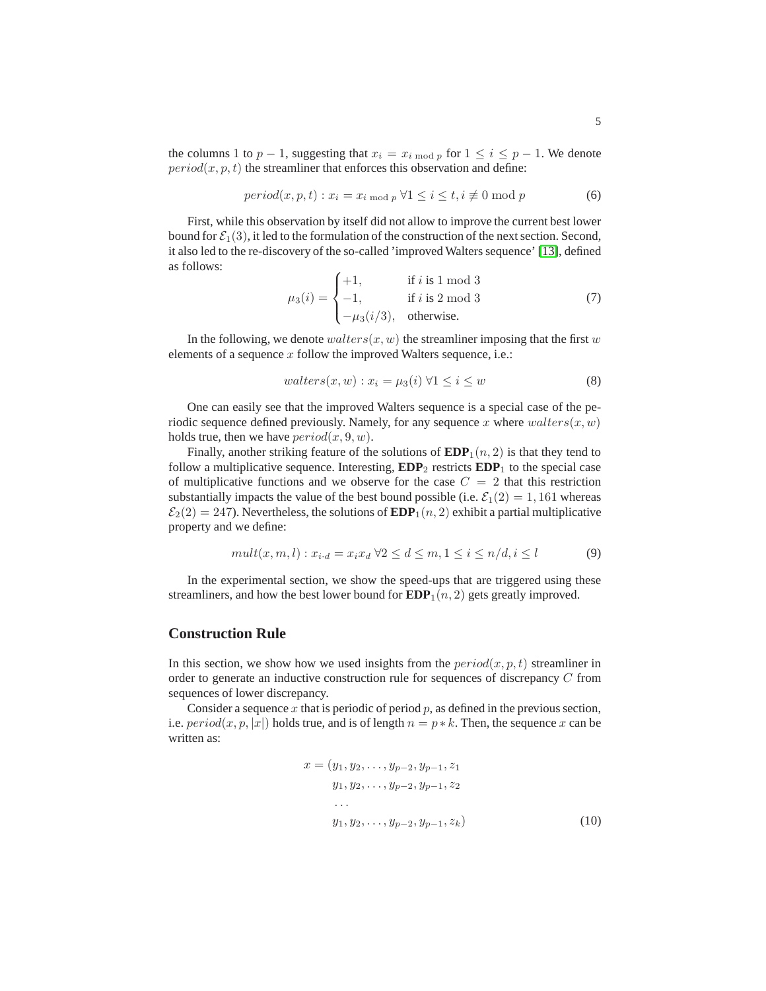the columns 1 to  $p-1$ , suggesting that  $x_i = x_{i \bmod p}$  for  $1 \le i \le p-1$ . We denote  $period(x, p, t)$  the streamliner that enforces this observation and define:

$$
period(x, p, t) : x_i = x_{i \bmod p} \,\forall 1 \le i \le t, i \not\equiv 0 \bmod p \tag{6}
$$

First, while this observation by itself did not allow to improve the current best lower bound for  $\mathcal{E}_1(3)$ , it led to the formulation of the construction of the next section. Second, it also led to the re-discovery of the so-called 'improved Walters sequence' [\[13\]](#page-7-12), defined as follows:

$$
\mu_3(i) = \begin{cases}\n+1, & \text{if } i \text{ is } 1 \text{ mod } 3 \\
-1, & \text{if } i \text{ is } 2 \text{ mod } 3 \\
-\mu_3(i/3), & \text{otherwise.} \n\end{cases}
$$
\n(7)

In the following, we denote  $walters(x, w)$  the streamliner imposing that the first w elements of a sequence  $x$  follow the improved Walters sequence, i.e.:

$$
walters(x, w) : x_i = \mu_3(i) \,\forall 1 \le i \le w \tag{8}
$$

One can easily see that the improved Walters sequence is a special case of the periodic sequence defined previously. Namely, for any sequence x where  $walters(x, w)$ holds true, then we have  $period(x, 9, w)$ .

Finally, another striking feature of the solutions of  $EDP_1(n, 2)$  is that they tend to follow a multiplicative sequence. Interesting, **EDP**<sup>2</sup> restricts **EDP**<sup>1</sup> to the special case of multiplicative functions and we observe for the case  $C = 2$  that this restriction substantially impacts the value of the best bound possible (i.e.  $\mathcal{E}_1(2) = 1,161$  whereas  $\mathcal{E}_2(2) = 247$ ). Nevertheless, the solutions of  $\mathbf{EDP}_1(n, 2)$  exhibit a partial multiplicative property and we define:

$$
mult(x, m, l) : x_{i \cdot d} = x_{i} x_{d} \ \forall 2 \leq d \leq m, 1 \leq i \leq n/d, i \leq l \tag{9}
$$

In the experimental section, we show the speed-ups that are triggered using these streamliners, and how the best lower bound for  $EDP_1(n, 2)$  gets greatly improved.

## **Construction Rule**

In this section, we show how we used insights from the  $period(x, p, t)$  streamliner in order to generate an inductive construction rule for sequences of discrepancy C from sequences of lower discrepancy.

Consider a sequence  $x$  that is periodic of period  $p$ , as defined in the previous section, i.e.  $period(x, p, |x|)$  holds true, and is of length  $n = p * k$ . Then, the sequence x can be written as:

<span id="page-4-0"></span>
$$
x = (y_1, y_2, \dots, y_{p-2}, y_{p-1}, z_1 \ny_1, y_2, \dots, y_{p-2}, y_{p-1}, z_2 \n\vdots \ny_1, y_2, \dots, y_{p-2}, y_{p-1}, z_k
$$
\n(10)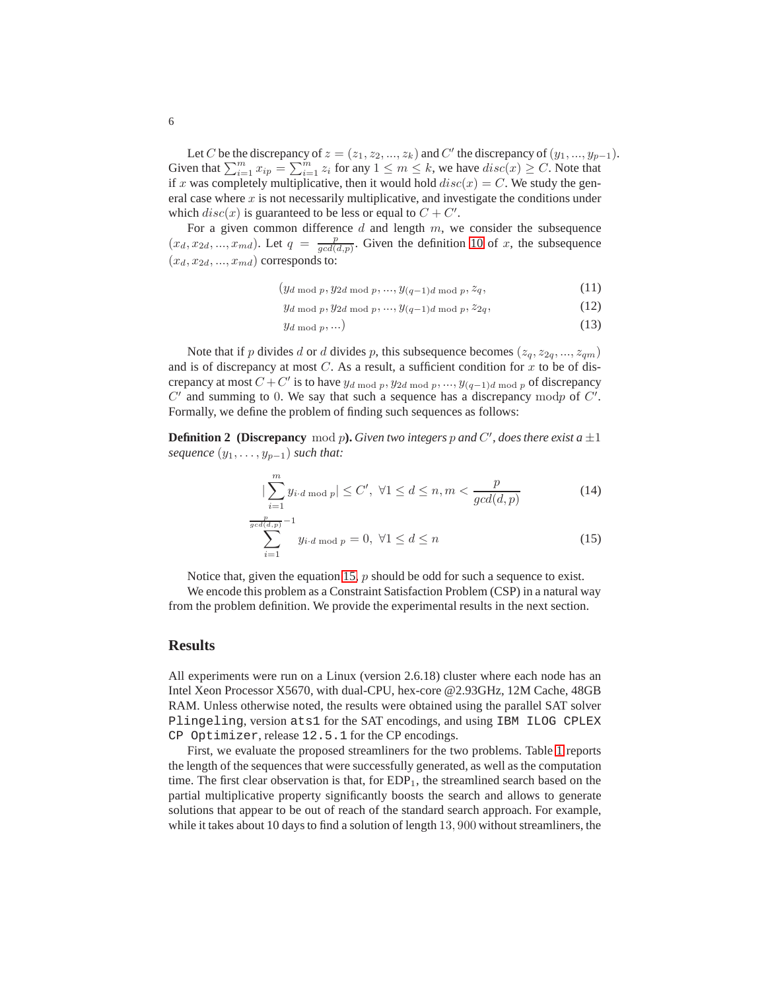Let C be the discrepancy of  $z = (z_1, z_2, ..., z_k)$  and C' the discrepancy of  $(y_1, ..., y_{p-1})$ . Given that  $\sum_{i=1}^{m} x_{ip} = \sum_{i=1}^{m} z_i$  for any  $1 \le m \le k$ , we have  $disc(x) \ge C$ . Note that if x was completely multiplicative, then it would hold  $disc(x) = C$ . We study the general case where  $x$  is not necessarily multiplicative, and investigate the conditions under which  $disc(x)$  is guaranteed to be less or equal to  $C + C'$ .

For a given common difference  $d$  and length  $m$ , we consider the subsequence  $(x_d, x_{2d}, ..., x_{md})$ . Let  $q = \frac{p}{gcd(d,p)}$ . Given the definition [10](#page-4-0) of x, the subsequence  $(x_d, x_{2d}, ..., x_{md})$  corresponds to:

$$
(yd mod p, y2d mod p, ..., y(q-1)d mod p, zq, (11)
$$

$$
y_d \bmod p, y_{2d} \bmod p, \dots, y_{(q-1)d} \bmod p, z_{2q}, \tag{12}
$$

$$
y_{d \bmod p}, \ldots) \tag{13}
$$

Note that if p divides d or d divides p, this subsequence becomes  $(z_q, z_{2q}, ..., z_{qm})$ and is of discrepancy at most  $C$ . As a result, a sufficient condition for  $x$  to be of discrepancy at most  $C + C'$  is to have  $y_{d \bmod p}$ ,  $y_{2d \bmod p}$ , ...,  $y_{(q-1)d \bmod p}$  of discrepancy  $C'$  and summing to 0. We say that such a sequence has a discrepancy modp of  $C'$ . Formally, we define the problem of finding such sequences as follows:

**Definition 2** (Discrepancy mod p). Given two integers p and  $C'$ , does there exist a  $\pm 1$ *sequence*  $(y_1, \ldots, y_{p-1})$  *such that:* 

<span id="page-5-0"></span>
$$
|\sum_{i=1}^{m} y_{i \cdot d \bmod p}| \le C', \ \forall 1 \le d \le n, m < \frac{p}{gcd(d, p)}
$$
(14)

$$
\sum_{i=1}^p y_{i \cdot d \bmod p} = 0, \ \forall 1 \le d \le n \tag{15}
$$

Notice that, given the equation [15,](#page-5-0) p should be odd for such a sequence to exist.

We encode this problem as a Constraint Satisfaction Problem (CSP) in a natural way from the problem definition. We provide the experimental results in the next section.

## **Results**

All experiments were run on a Linux (version 2.6.18) cluster where each node has an Intel Xeon Processor X5670, with dual-CPU, hex-core @2.93GHz, 12M Cache, 48GB RAM. Unless otherwise noted, the results were obtained using the parallel SAT solver Plingeling, version ats1 for the SAT encodings, and using IBM ILOG CPLEX CP Optimizer, release 12.5.1 for the CP encodings.

First, we evaluate the proposed streamliners for the two problems. Table [1](#page-6-0) reports the length of the sequences that were successfully generated, as well as the computation time. The first clear observation is that, for  $EDP_1$ , the streamlined search based on the partial multiplicative property significantly boosts the search and allows to generate solutions that appear to be out of reach of the standard search approach. For example, while it takes about 10 days to find a solution of length 13, 900 without streamliners, the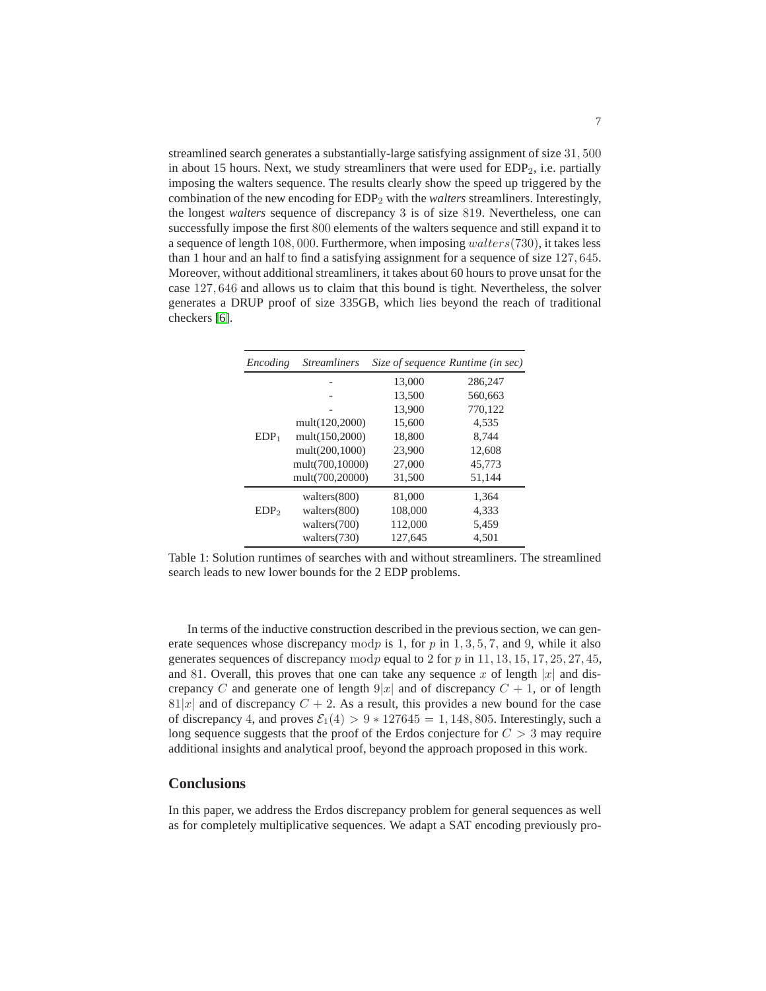streamlined search generates a substantially-large satisfying assignment of size 31, 500 in about 15 hours. Next, we study streamliners that were used for  $EDP_2$ , i.e. partially imposing the walters sequence. The results clearly show the speed up triggered by the combination of the new encoding for EDP<sup>2</sup> with the *walters* streamliners. Interestingly, the longest *walters* sequence of discrepancy 3 is of size 819. Nevertheless, one can successfully impose the first 800 elements of the walters sequence and still expand it to a sequence of length 108, 000. Furthermore, when imposing walters(730), it takes less than 1 hour and an half to find a satisfying assignment for a sequence of size 127, 645. Moreover, without additional streamliners, it takes about 60 hours to prove unsat for the case 127, 646 and allows us to claim that this bound is tight. Nevertheless, the solver generates a DRUP proof of size 335GB, which lies beyond the reach of traditional checkers [\[6\]](#page-7-5).

<span id="page-6-0"></span>

| Encoding         | <i><u><b>Streamliners</b></u></i> |         | Size of sequence Runtime (in sec) |
|------------------|-----------------------------------|---------|-----------------------------------|
| EDP <sub>1</sub> |                                   | 13,000  | 286,247                           |
|                  |                                   | 13,500  | 560,663                           |
|                  |                                   | 13,900  | 770,122                           |
|                  | mult(120,2000)                    | 15,600  | 4,535                             |
|                  | mult(150,2000)                    | 18,800  | 8,744                             |
|                  | mult(200,1000)                    | 23,900  | 12,608                            |
|                  | mult(700,10000)                   | 27,000  | 45,773                            |
|                  | mult(700,20000)                   | 31,500  | 51,144                            |
| EDP <sub>2</sub> | walters(800)                      | 81,000  | 1,364                             |
|                  | walters $(800)$                   | 108,000 | 4,333                             |
|                  | walters(700)                      | 112,000 | 5,459                             |
|                  | walters(730)                      | 127.645 | 4.501                             |

Table 1: Solution runtimes of searches with and without streamliners. The streamlined search leads to new lower bounds for the 2 EDP problems.

In terms of the inductive construction described in the previous section, we can generate sequences whose discrepancy modp is 1, for p in  $1, 3, 5, 7$ , and 9, while it also generates sequences of discrepancy modp equal to 2 for p in 11, 13, 15, 17, 25, 27, 45, and 81. Overall, this proves that one can take any sequence x of length |x| and discrepancy C and generate one of length  $9|x|$  and of discrepancy  $C + 1$ , or of length  $81|x|$  and of discrepancy  $C + 2$ . As a result, this provides a new bound for the case of discrepancy 4, and proves  $\mathcal{E}_1(4) > 9 * 127645 = 1,148,805$ . Interestingly, such a long sequence suggests that the proof of the Erdos conjecture for  $C > 3$  may require additional insights and analytical proof, beyond the approach proposed in this work.

## **Conclusions**

In this paper, we address the Erdos discrepancy problem for general sequences as well as for completely multiplicative sequences. We adapt a SAT encoding previously pro